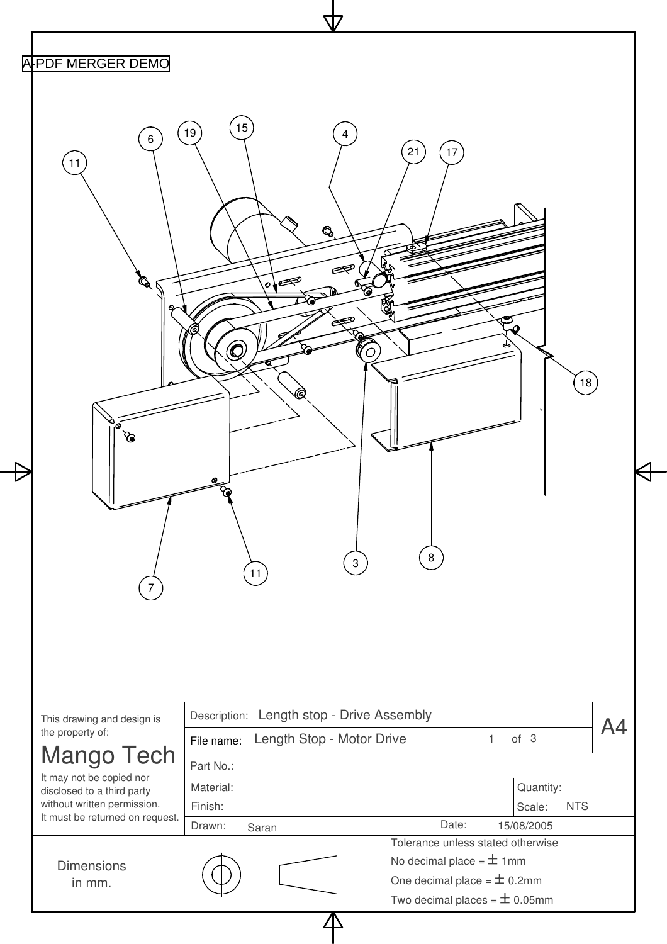| 15<br>$19$<br>$\overline{4}$<br>6<br>21<br>$17\,$<br>11<br>$\mathbf{Q}$<br>Þ<br>$\circ \bullet$<br>Q<br>(e<br>$\mathsf{T}_{\mathcal{Q}}$<br>18)<br>0<br>$\infty$<br>=<br>$\begin{bmatrix} 8 \end{bmatrix}$<br>$\begin{bmatrix} 3 \end{bmatrix}$<br>$\left(11\right)$<br>Description: Length stop - Drive Assembly<br>This drawing and design is<br>A4<br>the property of:<br>Length Stop - Motor Drive<br>$\mathbf{1}$<br>of 3<br>File name:<br>Mango Tech<br>Part No.:<br>It may not be copied nor<br>Material:<br>Quantity:<br>disclosed to a third party<br>without written permission.<br>Finish:<br><b>NTS</b><br>Scale:<br>It must be returned on request.<br>Date:<br>Drawn:<br>15/08/2005<br>Saran<br>Tolerance unless stated otherwise | A-PDF MERGER DEMO |  |  |
|-------------------------------------------------------------------------------------------------------------------------------------------------------------------------------------------------------------------------------------------------------------------------------------------------------------------------------------------------------------------------------------------------------------------------------------------------------------------------------------------------------------------------------------------------------------------------------------------------------------------------------------------------------------------------------------------------------------------------------------------------|-------------------|--|--|
|                                                                                                                                                                                                                                                                                                                                                                                                                                                                                                                                                                                                                                                                                                                                                 |                   |  |  |
|                                                                                                                                                                                                                                                                                                                                                                                                                                                                                                                                                                                                                                                                                                                                                 |                   |  |  |
|                                                                                                                                                                                                                                                                                                                                                                                                                                                                                                                                                                                                                                                                                                                                                 |                   |  |  |
|                                                                                                                                                                                                                                                                                                                                                                                                                                                                                                                                                                                                                                                                                                                                                 |                   |  |  |
|                                                                                                                                                                                                                                                                                                                                                                                                                                                                                                                                                                                                                                                                                                                                                 |                   |  |  |
|                                                                                                                                                                                                                                                                                                                                                                                                                                                                                                                                                                                                                                                                                                                                                 |                   |  |  |
|                                                                                                                                                                                                                                                                                                                                                                                                                                                                                                                                                                                                                                                                                                                                                 |                   |  |  |
| No decimal place = $\pm$ 1mm<br><b>Dimensions</b>                                                                                                                                                                                                                                                                                                                                                                                                                                                                                                                                                                                                                                                                                               |                   |  |  |
| One decimal place = $\pm$ 0.2mm<br>in mm.<br>Two decimal places = $\pm$ 0.05mm                                                                                                                                                                                                                                                                                                                                                                                                                                                                                                                                                                                                                                                                  |                   |  |  |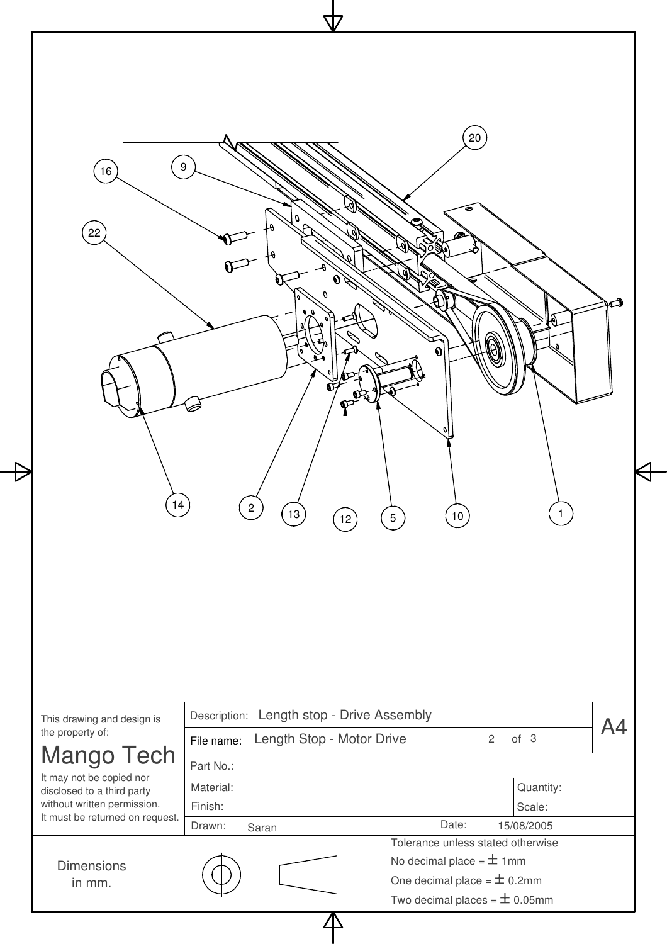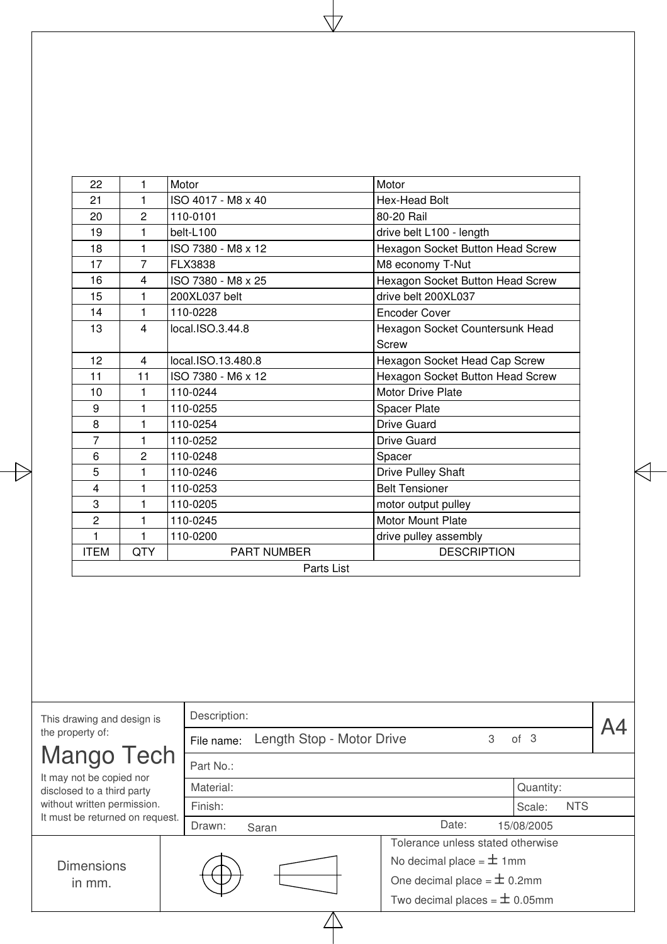| 22                                                     | 1              | Motor              | Motor                                                                |  |
|--------------------------------------------------------|----------------|--------------------|----------------------------------------------------------------------|--|
| 21                                                     | $\mathbf{1}$   | ISO 4017 - M8 x 40 | Hex-Head Bolt                                                        |  |
| 20                                                     | $\overline{c}$ | 110-0101           | 80-20 Rail                                                           |  |
| 19                                                     | $\mathbf{1}$   | belt-L100          | drive belt L100 - length                                             |  |
| 18                                                     | 1              | ISO 7380 - M8 x 12 | Hexagon Socket Button Head Screw                                     |  |
| 17                                                     | $\overline{7}$ | FLX3838            | M8 economy T-Nut                                                     |  |
| 16                                                     | 4              | ISO 7380 - M8 x 25 | Hexagon Socket Button Head Screw                                     |  |
| 15                                                     | 1              | 200XL037 belt      | drive belt 200XL037                                                  |  |
| 14                                                     | $\mathbf{1}$   | 110-0228           | <b>Encoder Cover</b>                                                 |  |
| 13                                                     | $\overline{4}$ | local.ISO.3.44.8   | Hexagon Socket Countersunk Head<br>Screw                             |  |
| 12                                                     | $\overline{4}$ | local.ISO.13.480.8 | Hexagon Socket Head Cap Screw                                        |  |
| 11                                                     | 11             | ISO 7380 - M6 x 12 | Hexagon Socket Button Head Screw                                     |  |
| 10                                                     | $\mathbf{1}$   | 110-0244           | Motor Drive Plate                                                    |  |
| 9                                                      | 1              | 110-0255           | Spacer Plate                                                         |  |
| 8                                                      | 1              | 110-0254           | Drive Guard                                                          |  |
| $\overline{7}$                                         | $\mathbf{1}$   | 110-0252           | <b>Drive Guard</b>                                                   |  |
| 6                                                      | $\overline{2}$ | 110-0248           | Spacer                                                               |  |
| 5                                                      | 1              | 110-0246           | Drive Pulley Shaft                                                   |  |
| 4                                                      | 1              | 110-0253           | <b>Belt Tensioner</b>                                                |  |
| 3                                                      | 1              | 110-0205           | motor output pulley                                                  |  |
| $\overline{c}$                                         | 1              | 110-0245           | Motor Mount Plate                                                    |  |
| 1                                                      | $\mathbf{1}$   | 110-0200           | drive pulley assembly                                                |  |
| <b>ITEM</b>                                            | <b>QTY</b>     | PART NUMBER        | <b>DESCRIPTION</b>                                                   |  |
|                                                        |                |                    |                                                                      |  |
|                                                        |                |                    | Parts List                                                           |  |
|                                                        |                |                    |                                                                      |  |
| This drawing and design is                             |                | Description:       |                                                                      |  |
| the property of:                                       |                | File name:         | Length Stop - Motor Drive<br>3<br>of <sub>3</sub>                    |  |
| Mango Tech                                             |                | Part No.:          |                                                                      |  |
| It may not be copied nor<br>disclosed to a third party |                | Material:          | Quantity:                                                            |  |
| without written permission.                            |                | Finish:            | <b>NTS</b><br>Scale:                                                 |  |
| It must be returned on request.                        |                | Drawn:<br>Saran    | Date:<br>15/08/2005                                                  |  |
|                                                        |                |                    | Tolerance unless stated otherwise                                    |  |
|                                                        |                |                    |                                                                      |  |
| <b>Dimensions</b>                                      |                |                    | No decimal place = $\pm$ 1mm                                         |  |
| in mm.                                                 |                |                    | One decimal place = $\pm$ 0.2mm<br>Two decimal places = $\pm$ 0.05mm |  |

t

4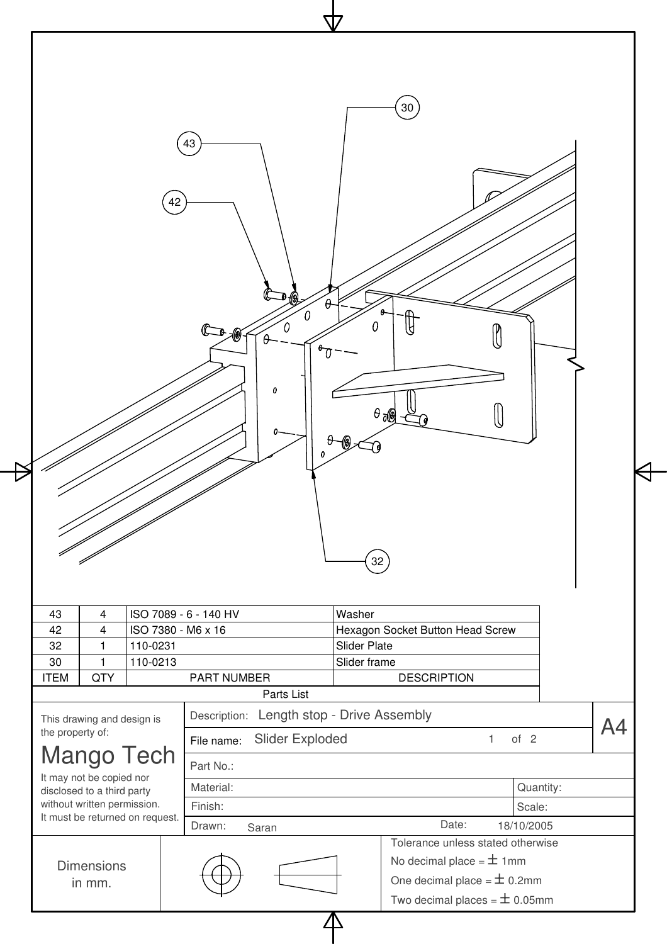|                                                                                    |                       |                                           |   |                     | $30\,$                           |              |                      |    |
|------------------------------------------------------------------------------------|-----------------------|-------------------------------------------|---|---------------------|----------------------------------|--------------|----------------------|----|
|                                                                                    | 42                    | 43                                        |   |                     |                                  |              |                      |    |
|                                                                                    |                       | Ω                                         | Ω | $\theta$ de         |                                  |              |                      |    |
|                                                                                    |                       |                                           |   |                     |                                  |              |                      |    |
|                                                                                    |                       |                                           |   | 32 <sup>7</sup>     |                                  |              |                      |    |
| 43<br>$\overline{4}$                                                               | ISO 7089 - 6 - 140 HV |                                           |   | Washer              |                                  |              |                      |    |
| 42<br>$\overline{4}$                                                               | ISO 7380 - M6 x 16    |                                           |   |                     | Hexagon Socket Button Head Screw |              |                      |    |
| $\mathbf{1}$<br>32                                                                 | 110-0231              |                                           |   | <b>Slider Plate</b> |                                  |              |                      |    |
| 30<br>$\mathbf{1}$<br><b>QTY</b><br><b>ITEM</b>                                    | 110-0213              | PART NUMBER                               |   | Slider frame        | <b>DESCRIPTION</b>               |              |                      |    |
|                                                                                    |                       | Parts List                                |   |                     |                                  |              |                      |    |
|                                                                                    |                       | Description: Length stop - Drive Assembly |   |                     |                                  |              |                      |    |
|                                                                                    |                       | Slider Exploded<br>File name:             |   |                     |                                  | $\mathbf{1}$ | of 2                 | A4 |
| This drawing and design is                                                         |                       | Part No.:                                 |   |                     |                                  |              |                      |    |
| It may not be copied nor                                                           |                       | Material:                                 |   |                     |                                  |              |                      |    |
| <b>Mango Tech</b><br>disclosed to a third party                                    |                       |                                           |   |                     |                                  |              | Quantity:            |    |
| the property of:<br>without written permission.<br>It must be returned on request. |                       | Finish:<br>Drawn:<br>Saran                |   |                     | Date:                            |              | Scale:<br>18/10/2005 |    |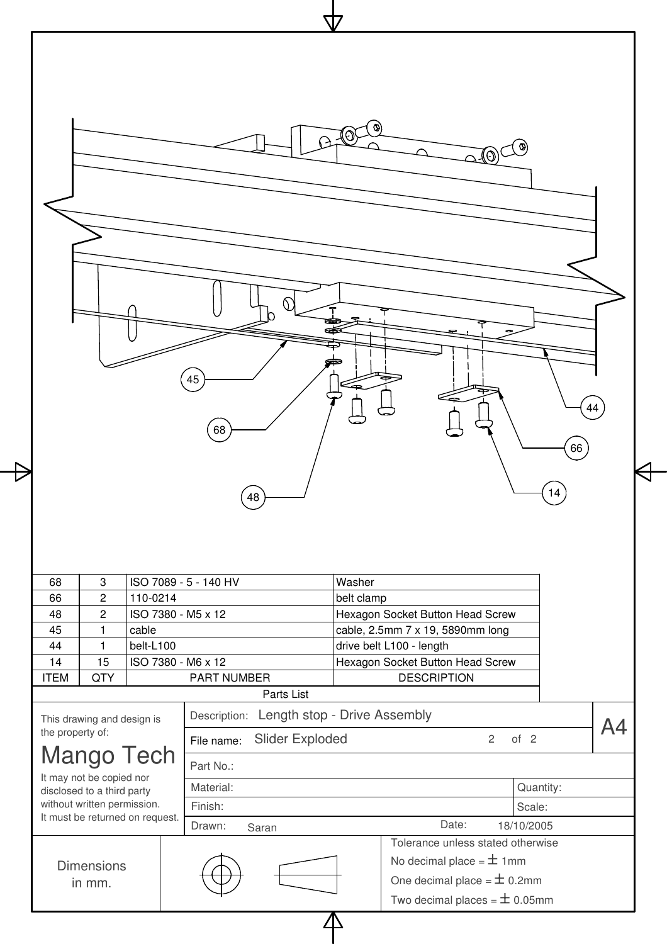| 68 | $\ensuremath{\mathsf{3}}$ | 45<br>68<br>48<br>ISO 7089 - 5 - 140 HV | ∾<br>Ø<br>(O)<br>44<br>66<br>14<br>Washer |  |
|----|---------------------------|-----------------------------------------|-------------------------------------------|--|
| 66 | $\sqrt{2}$                | 110-0214                                | belt clamp                                |  |
| 48 | $\overline{c}$            | ISO 7380 - M5 x 12                      | Hexagon Socket Button Head Screw          |  |
| 45 | $\mathbf{1}$              | cable                                   | cable, 2.5mm 7 x 19, 5890mm long          |  |

 $\overline{\triangleright}$ 

| ◡◡               | ັ                                             |           | 1997 - 9 - 1997 - 199 |                              |            |                                   |   |            |  |
|------------------|-----------------------------------------------|-----------|-----------------------|------------------------------|------------|-----------------------------------|---|------------|--|
| 66               | $\overline{2}$                                | 110-0214  |                       |                              | belt clamp |                                   |   |            |  |
| 48               | $\overline{2}$                                |           | ISO 7380 - M5 x 12    |                              |            | Hexagon Socket Button Head Screw  |   |            |  |
| 45               |                                               | cable     |                       |                              |            | cable, 2.5mm 7 x 19, 5890mm long  |   |            |  |
| 44               |                                               | belt-L100 |                       |                              |            | drive belt L100 - length          |   |            |  |
| 14               | 15                                            |           | ISO 7380 - M6 x 12    |                              |            | Hexagon Socket Button Head Screw  |   |            |  |
| <b>ITEM</b>      | QTY                                           |           | <b>PART NUMBER</b>    |                              |            | <b>DESCRIPTION</b>                |   |            |  |
|                  |                                               |           |                       | Parts List                   |            |                                   |   |            |  |
|                  | This drawing and design is                    |           | Description:          | Length stop - Drive Assembly |            |                                   |   |            |  |
| the property of: |                                               |           | File name:            | <b>Slider Exploded</b>       |            |                                   | 2 | of $2$     |  |
|                  | <b>Mango Tech</b><br>It may not be copied nor |           | Part No.:             |                              |            |                                   |   |            |  |
|                  | disclosed to a third party                    |           | Material:             |                              |            |                                   |   | Quantity:  |  |
|                  | without written permission.                   |           | Finish:               |                              |            |                                   |   | Scale:     |  |
|                  | It must be returned on request.               |           | Drawn:                | Saran                        |            | Date:                             |   | 18/10/2005 |  |
|                  |                                               |           |                       |                              |            | Tolerance unless stated otherwise |   |            |  |
|                  | <b>Dimensions</b>                             |           |                       |                              |            | No decimal place = $\pm$ 1mm      |   |            |  |
|                  | in mm.                                        |           |                       |                              |            | One decimal place = $\pm$ 0.2mm   |   |            |  |
|                  |                                               |           |                       |                              |            | Two decimal places = $\pm$ 0.05mm |   |            |  |
|                  |                                               |           |                       |                              |            |                                   |   |            |  |
|                  |                                               |           |                       |                              |            |                                   |   |            |  |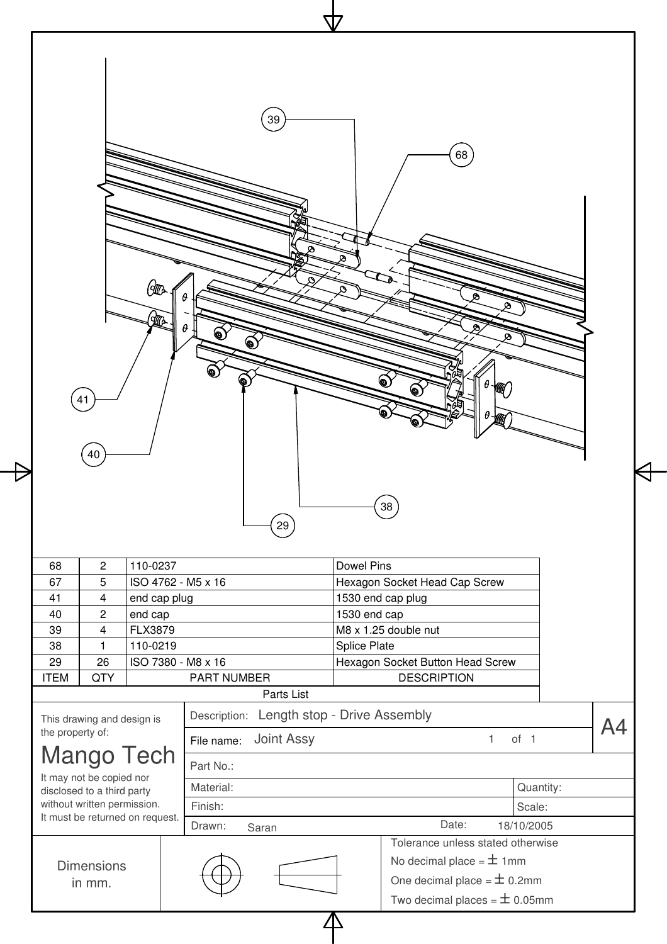|   | 77                                                                                                                                                                                                                                                                  |
|---|---------------------------------------------------------------------------------------------------------------------------------------------------------------------------------------------------------------------------------------------------------------------|
| 七 | $\left(39\right)$<br>$\left( 68\right)$<br>ø<br>⊗<br>⋑<br>$G\!\!\!\!\!{}^{\rm T\!G\!A}$<br>O<br>$\theta$<br>ల<br>Ø<br><b>RE</b><br>$\theta$<br>ø<br>ِ ها<br>ø<br>о<br>๑<br>ِ⊙<br>θ<br>Đ<br>₩<br>◉<br>41<br>θ<br>Жď<br>40<br>$\left(38\right)$<br>$\left( 29\right)$ |
|   | 1110002<br>$\n $ Dowal Ding<br>$\Omega$<br>$\mathbf{c}$                                                                                                                                                                                                             |

╡

| 68               | 2                                             | 110-0237     |                    |                    |                              | <b>Dowel Pins</b>   |                                   |   |                 |  |  |  |
|------------------|-----------------------------------------------|--------------|--------------------|--------------------|------------------------------|---------------------|-----------------------------------|---|-----------------|--|--|--|
| 67               | 5                                             |              | ISO 4762 - M5 x 16 |                    |                              |                     | Hexagon Socket Head Cap Screw     |   |                 |  |  |  |
| 41               | 4                                             | end cap plug |                    |                    |                              |                     | 1530 end cap plug                 |   |                 |  |  |  |
| 40               | 2                                             | end cap      |                    |                    |                              | 1530 end cap        |                                   |   |                 |  |  |  |
| 39               | 4                                             | FLX3879      |                    |                    |                              |                     | M8 x 1.25 double nut              |   |                 |  |  |  |
| 38               | 1                                             | 110-0219     |                    |                    |                              | <b>Splice Plate</b> |                                   |   |                 |  |  |  |
| 29               | 26                                            |              | ISO 7380 - M8 x 16 |                    |                              |                     | Hexagon Socket Button Head Screw  |   |                 |  |  |  |
| <b>ITEM</b>      | QTY                                           |              |                    | <b>PART NUMBER</b> |                              |                     | <b>DESCRIPTION</b>                |   |                 |  |  |  |
|                  |                                               |              |                    |                    | Parts List                   |                     |                                   |   |                 |  |  |  |
|                  | This drawing and design is                    |              |                    | Description:       | Length stop - Drive Assembly |                     |                                   |   |                 |  |  |  |
| the property of: |                                               |              | File name:         |                    | <b>Joint Assy</b>            |                     |                                   | 1 | of <sub>1</sub> |  |  |  |
|                  | <b>Mango Tech</b><br>It may not be copied nor |              | Part No.:          |                    |                              |                     |                                   |   |                 |  |  |  |
|                  | disclosed to a third party                    |              | Material:          |                    |                              |                     |                                   |   | Quantity:       |  |  |  |
|                  | without written permission.                   |              | Finish:            |                    |                              |                     |                                   |   | Scale:          |  |  |  |
|                  | It must be returned on request.               |              | Drawn:             |                    | Saran                        |                     | Date:                             |   | 18/10/2005      |  |  |  |
|                  |                                               |              |                    |                    |                              |                     | Tolerance unless stated otherwise |   |                 |  |  |  |
|                  | <b>Dimensions</b>                             |              |                    |                    |                              |                     | No decimal place = $\pm$ 1mm      |   |                 |  |  |  |
|                  | in mm.                                        |              |                    |                    |                              |                     | One decimal place = $\pm$ 0.2mm   |   |                 |  |  |  |
|                  |                                               |              |                    |                    |                              |                     | Two decimal places = $\pm$ 0.05mm |   |                 |  |  |  |
|                  |                                               |              |                    |                    |                              |                     |                                   |   |                 |  |  |  |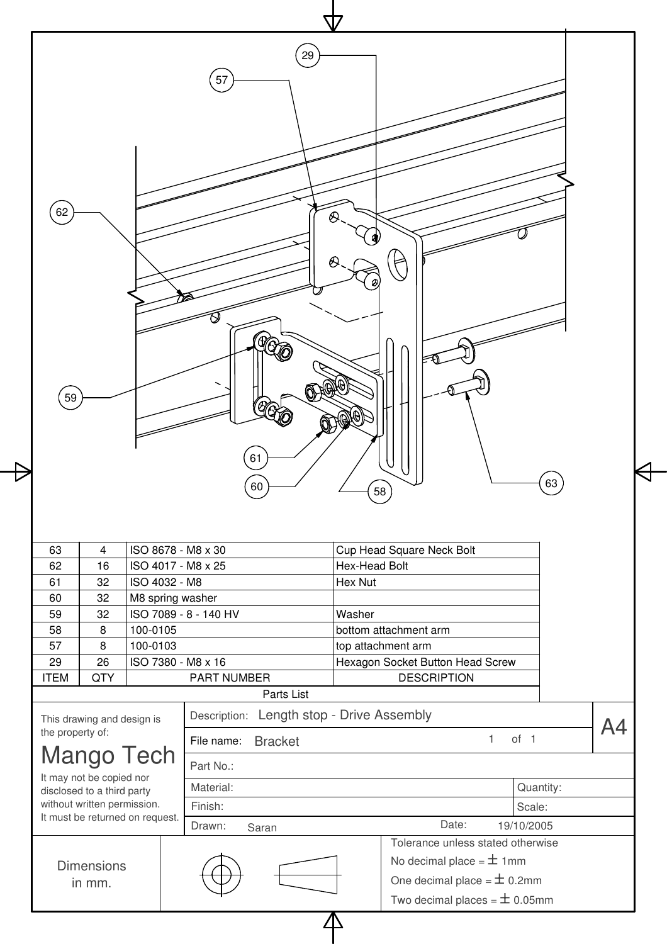

| 63               | 4                                             |               | ISO 8678 - M8 x 30    |                              |               | Cup Head Square Neck Bolt         |                 |           |  |
|------------------|-----------------------------------------------|---------------|-----------------------|------------------------------|---------------|-----------------------------------|-----------------|-----------|--|
| 62               | 16                                            |               | ISO 4017 - M8 x 25    |                              | Hex-Head Bolt |                                   |                 |           |  |
| 61               | 32                                            | ISO 4032 - M8 |                       |                              | Hex Nut       |                                   |                 |           |  |
| 60               | 32                                            |               | M8 spring washer      |                              |               |                                   |                 |           |  |
| 59               | 32                                            |               | ISO 7089 - 8 - 140 HV |                              | Washer        |                                   |                 |           |  |
| 58               | 8                                             | 100-0105      |                       |                              |               | bottom attachment arm             |                 |           |  |
| 57               | 8                                             | 100-0103      |                       |                              |               | top attachment arm                |                 |           |  |
| 29               | 26                                            |               | ISO 7380 - M8 x 16    |                              |               | Hexagon Socket Button Head Screw  |                 |           |  |
| <b>ITEM</b>      | QTY                                           |               | <b>PART NUMBER</b>    |                              |               | <b>DESCRIPTION</b>                |                 |           |  |
|                  |                                               |               |                       | Parts List                   |               |                                   |                 |           |  |
|                  | This drawing and design is                    |               | Description:          | Length stop - Drive Assembly |               |                                   |                 |           |  |
| the property of: |                                               |               | File name:            | <b>Bracket</b>               |               |                                   | of <sub>1</sub> |           |  |
|                  | <b>Mango Tech</b><br>It may not be copied nor |               | Part No.:             |                              |               |                                   |                 |           |  |
|                  | disclosed to a third party                    |               | Material:             |                              |               |                                   |                 | Quantity: |  |
|                  | without written permission.                   |               | Finish:               |                              |               |                                   | Scale:          |           |  |
|                  | It must be returned on request.               |               | Drawn:                | Saran                        |               | Date:                             | 19/10/2005      |           |  |
|                  |                                               |               |                       |                              |               | Tolerance unless stated otherwise |                 |           |  |
|                  | <b>Dimensions</b>                             |               |                       |                              |               | No decimal place = $\pm$ 1mm      |                 |           |  |
|                  | in mm.                                        |               |                       |                              |               | One decimal place = $\pm$ 0.2mm   |                 |           |  |
|                  |                                               |               |                       |                              |               | Two decimal places = $\pm$ 0.05mm |                 |           |  |
|                  |                                               |               |                       |                              |               |                                   |                 |           |  |
|                  |                                               |               |                       |                              |               |                                   |                 |           |  |
|                  |                                               |               |                       |                              |               |                                   |                 |           |  |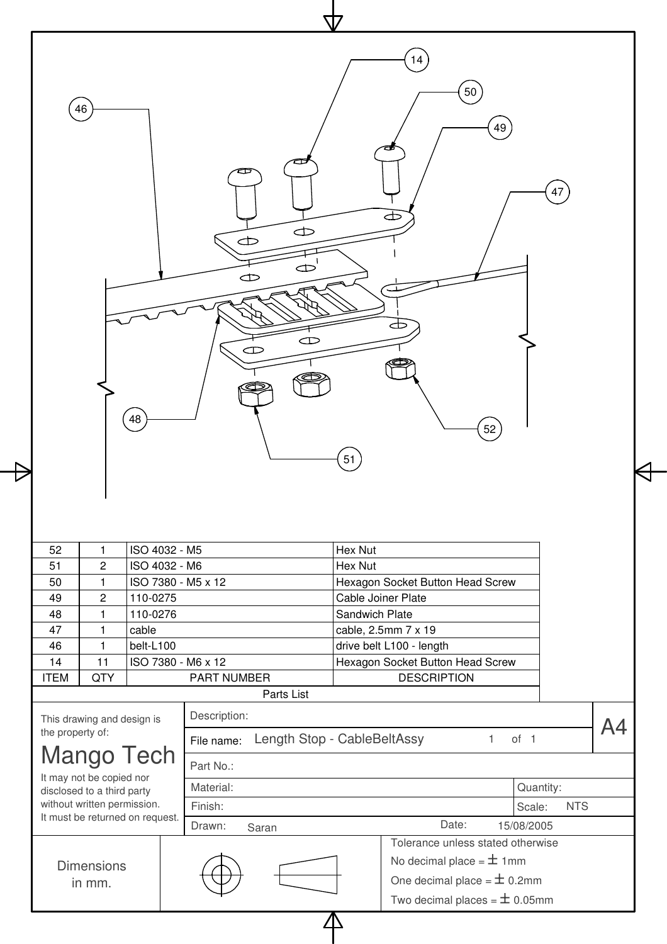| 46               |                                                           |               | 14<br>50<br>49<br>σ<br>Œ<br>æ<br>$\Rightarrow$<br>¢<br>œ<br>$\bigoplus$<br>Œ<br>Œ | 47                   |
|------------------|-----------------------------------------------------------|---------------|-----------------------------------------------------------------------------------|----------------------|
|                  |                                                           | 48            | 52<br>51                                                                          |                      |
| 52               | $\mathbf{1}$                                              | ISO 4032 - M5 | Hex Nut                                                                           |                      |
| 51               | $\overline{c}$                                            | ISO 4032 - M6 | Hex Nut                                                                           |                      |
| 50               | 1                                                         |               | ISO 7380 - M5 x 12<br>Hexagon Socket Button Head Screw                            |                      |
| 49               | 2                                                         | 110-0275      | Cable Joiner Plate                                                                |                      |
| 48               | 1                                                         | 110-0276      | Sandwich Plate                                                                    |                      |
| 47               | 1                                                         | cable         | cable, 2.5mm 7 x 19                                                               |                      |
| 46               | 1                                                         | belt-L100     | drive belt L100 - length                                                          |                      |
| 14               | 11                                                        |               | ISO 7380 - M6 x 12<br>Hexagon Socket Button Head Screw                            |                      |
| <b>ITEM</b>      | <b>QTY</b>                                                |               | PART NUMBER<br><b>DESCRIPTION</b><br>Parts List                                   |                      |
| the property of: | This drawing and design is                                |               | Description:<br>Length Stop - CableBeltAssy<br>$\mathbf{1}$<br>File name:         | А4<br>of 1           |
|                  | <b>Mango Tech</b>                                         |               | Part No.:                                                                         |                      |
|                  | It may not be copied nor                                  |               |                                                                                   |                      |
|                  | disclosed to a third party<br>without written permission. |               | Material:                                                                         | Quantity:            |
|                  | It must be returned on request.                           |               | Finish:                                                                           | Scale:<br><b>NTS</b> |
|                  |                                                           |               | Date:<br>Drawn:<br>Saran                                                          | 15/08/2005           |
|                  |                                                           |               | Tolerance unless stated otherwise                                                 |                      |
|                  | <b>Dimensions</b><br>in mm.                               |               | No decimal place = $\pm$ 1mm<br>One decimal place = $\pm$ 0.2mm                   |                      |

 $\Delta$